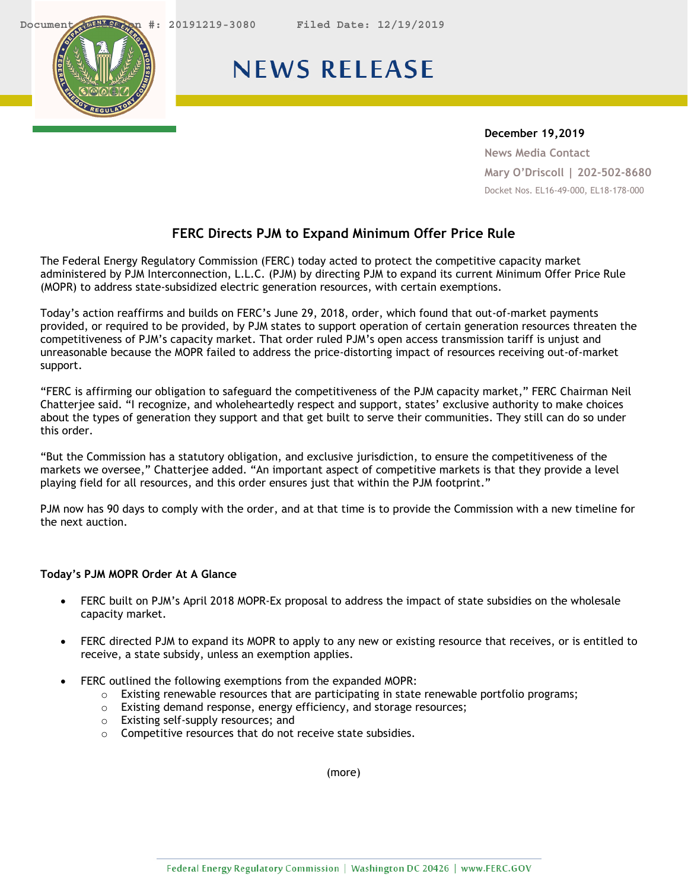<span id="page-0-0"></span>



## **NEWS RELEASE**

## **December 19,2019**

**News Media Contact Mary O'Driscoll | 202-502-8680** Docket Nos. EL16-49-000, EL18-178-000

## **FERC Directs PJM to Expand Minimum Offer Price Rule**

The Federal Energy Regulatory Commission (FERC) today acted to protect the competitive capacity market administered by PJM Interconnection, L.L.C. (PJM) by directing PJM to expand its current Minimum Offer Price Rule (MOPR) to address state-subsidized electric generation resources, with certain exemptions.

Today's action reaffirms and builds on FERC's June 29, 2018, order, which found that out-of-market payments provided, or required to be provided, by PJM states to support operation of certain generation resources threaten the competitiveness of PJM's capacity market. That order ruled PJM's open access transmission tariff is unjust and unreasonable because the MOPR failed to address the price-distorting impact of resources receiving out-of-market support.

"FERC is affirming our obligation to safeguard the competitiveness of the PJM capacity market," FERC Chairman Neil Chatterjee said. "I recognize, and wholeheartedly respect and support, states' exclusive authority to make choices about the types of generation they support and that get built to serve their communities. They still can do so under this order.

"But the Commission has a statutory obligation, and exclusive jurisdiction, to ensure the competitiveness of the markets we oversee," Chatterjee added. "An important aspect of competitive markets is that they provide a level playing field for all resources, and this order ensures just that within the PJM footprint."

PJM now has 90 days to comply with the order, and at that time is to provide the Commission with a new timeline for the next auction.

## **Today's PJM MOPR Order At A Glance**

- FERC built on PJM's April 2018 MOPR-Ex proposal to address the impact of state subsidies on the wholesale capacity market.
- FERC directed PJM to expand its MOPR to apply to any new or existing resource that receives, or is entitled to receive, a state subsidy, unless an exemption applies.
- FERC outlined the following exemptions from the expanded MOPR:
	- $\circ$  Existing renewable resources that are participating in state renewable portfolio programs;
	- o Existing demand response, energy efficiency, and storage resources;
	- o Existing self-supply resources; and
	- o Competitive resources that do not receive state subsidies.

(more)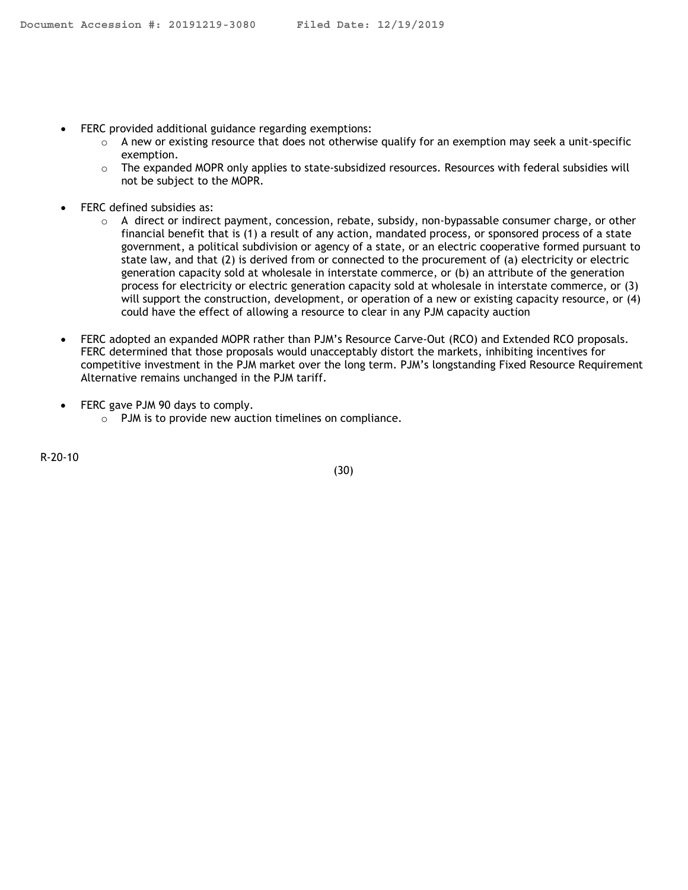- FERC provided additional guidance regarding exemptions:
	- $\circ$  A new or existing resource that does not otherwise qualify for an exemption may seek a unit-specific exemption.
	- $\circ$  The expanded MOPR only applies to state-subsidized resources. Resources with federal subsidies will not be subject to the MOPR.
- FERC defined subsidies as:
	- o A direct or indirect payment, concession, rebate, subsidy, non-bypassable consumer charge, or other financial benefit that is (1) a result of any action, mandated process, or sponsored process of a state government, a political subdivision or agency of a state, or an electric cooperative formed pursuant to state law, and that (2) is derived from or connected to the procurement of (a) electricity or electric generation capacity sold at wholesale in interstate commerce, or (b) an attribute of the generation process for electricity or electric generation capacity sold at wholesale in interstate commerce, or (3) will support the construction, development, or operation of a new or existing capacity resource, or (4) could have the effect of allowing a resource to clear in any PJM capacity auction
- FERC adopted an expanded MOPR rather than PJM's Resource Carve-Out (RCO) and Extended RCO proposals. FERC determined that those proposals would unacceptably distort the markets, inhibiting incentives for competitive investment in the PJM market over the long term. PJM's longstanding Fixed Resource Requirement Alternative remains unchanged in the PJM tariff.
- FERC gave PJM 90 days to comply.
	- o PJM is to provide new auction timelines on compliance.

R-20-10

(30)